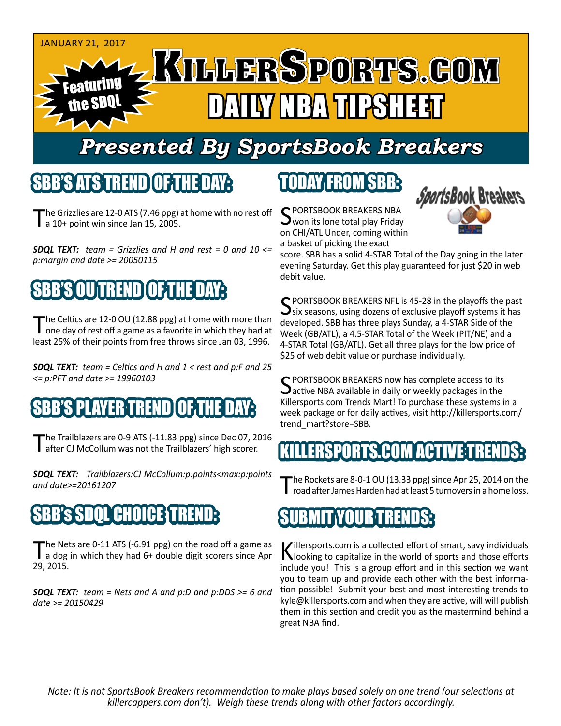

# *Presented By SportsBook Breakers*

#### SBB'S ATS TREND

The Grizzlies are 12-0 ATS (7.46 ppg) at home with no rest off a 10+ point win since Jan 15, 2005.

*SDQL TEXT: team = Grizzlies and H and rest = 0 and 10 <= p:margin and date >= 20050115*

## BB'S OU TREND TOF THE DAY

The Celtics are 12-0 OU (12.88 ppg) at home with more than<br>one day of rest off a game as a favorite in which they had at least 25% of their points from free throws since Jan 03, 1996.

*SDQL TEXT: team = Celtics and H and 1 < rest and p:F and 25 <= p:PFT and date >= 19960103*

## **PLAYER TREND**

The Trailblazers are 0-9 ATS (-11.83 ppg) since Dec 07, 2016<br>
after CJ McCollum was not the Trailblazers' high scorer.

*SDQL TEXT: Trailblazers:CJ McCollum:p:points<max:p:points and date>=20161207*

## SBB's SDQL CHOICE TREND:

The Nets are 0-11 ATS (-6.91 ppg) on the road off a game as<br>a dog in which they had 6+ double digit scorers since Apr 29, 2015.

*SDQL TEXT: team = Nets and A and p:D and p:DDS >= 6 and date >= 20150429*

## TODAY FROM SBB:

C PORTSBOOK BREAKERS NBA won its lone total play Friday on CHI/ATL Under, coming within a basket of picking the exact



score. SBB has a solid 4-STAR Total of the Day going in the later evening Saturday. Get this play guaranteed for just \$20 in web debit value.

C PORTSBOOK BREAKERS NFL is 45-28 in the playoffs the past  $\mathbf{\mathcal{S}}$ six seasons, using dozens of exclusive playoff systems it has developed. SBB has three plays Sunday, a 4-STAR Side of the Week (GB/ATL), a 4.5-STAR Total of the Week (PIT/NE) and a 4-STAR Total (GB/ATL). Get all three plays for the low price of \$25 of web debit value or purchase individually.

C PORTSBOOK BREAKERS now has complete access to its  $\Delta$  active NBA available in daily or weekly packages in the Killersports.com Trends Mart! To purchase these systems in a week package or for daily actives, visit http://killersports.com/ trend\_mart?store=SBB.

#### 'S COM ACT

The Rockets are 8-0-1 OU (13.33 ppg) since Apr 25, 2014 on the road after James Harden had at least 5 turnovers in a home loss.

#### UBMIT YOUR TRENDS:

Killersports.com is a collected effort of smart, savy individuals<br>Nooking to capitalize in the world of sports and those efforts include you! This is a group effort and in this section we want you to team up and provide each other with the best information possible! Submit your best and most interesting trends to kyle@killersports.com and when they are active, will will publish them in this section and credit you as the mastermind behind a great NBA find.

*Note: It is not SportsBook Breakers recommendation to make plays based solely on one trend (our selections at killercappers.com don't). Weigh these trends along with other factors accordingly.*